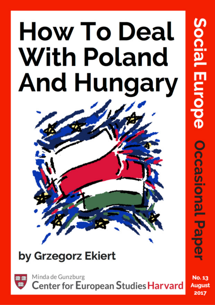# **How To Deal With Poland And Hungary**

# by Grzegorz Ekiert



Minda de Gunzburg Center for European Studies Harvard Decasional

No. 13 August 2017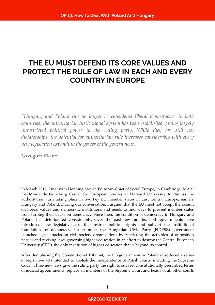## **THE EU MUST DEFEND ITS CORE VALUES AND PROTECT THE RULE OF LAW IN EACH AND EVERY COUNTRY IN EUROPE**

*"Hungary and Poland can no longer be considered liberal democracies. In both countries, the authoritarian institutional system has been established, giving largely unrestricted political power to the ruling party. While they are still not dictatorships, the potential for authoritarian rule increases considerably with every new legislation expanding the power of the government."*

**Grzegorz Ekiert**

In March 2017, I met with Henning Meyer, Editor-in-Chief of Social Europe, in Cambridge, MA at the Minda de Gunzburg Center for European Studies at Harvard University to discuss the authoritarian turn taking place in two key EU member states in East Central Europe, namely Hungary and Poland. During our conversation, I argued that the EU must not accept the assault on liberal values and democratic institutions and needs to find ways to prevent member states from turning their backs on democracy. Since then, the condition of democracy in Hungary and Poland has deteriorated considerably. Over the past few months, both governments have introduced new legislative acts that restrict political rights and subvert the institutional foundations of democracy. For example, the Hungarian Civic Party (FIDESZ) government launched legal attacks on civil society organizations by restricting the activities of opposition parties and revising laws governing higher education in an effort to destroy the Central European University (CEU), the only institution of higher education that is beyond its control.

After demolishing the Constitutional Tribunal, the PiS government in Poland introduced a series of legislative acts intended to abolish the independence of Polish courts, including the Supreme Court. Three new laws give the ruling party the right to subvert constitutionally prescribed terms of judicial appointments, replace all members of the Supreme Court and heads of all other courts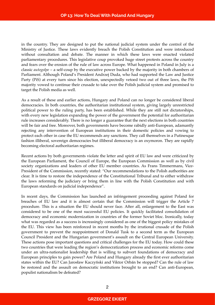in the country. They are designed to put the national judicial system under the control of the Ministry of Justice. These laws evidently breach the Polish Constitution and were introduced without consultation and debate. The manner in which these laws were enacted violated parliamentary procedures. This legislative coup provoked huge street protests across the country and fears over the erosion of the rule of law across Europe. What happened in Poland in July is a classic *autogolpe* – a self-coup by the executive power backed by the majority in both chambers of Parliament. Although Poland's President Andrzej Duda, who had supported the Law and Justice Party (PiS) at every turn since his election, unexpectedly vetoed two out of three laws, the PiS majority vowed to continue their crusade to take over the Polish judicial system and promised to target the Polish media as well.

As a result of these and earlier actions, Hungary and Poland can no longer be considered liberal democracies. In both countries, the authoritarian institutional system, giving largely unrestricted political power to the ruling party, has been established. While they are still not dictatorships, with every new legislation expanding the power of the government the potential for authoritarian rule increases considerably. There is no longer a guarantee that the next elections in both countries will be fair and free. Moreover, both governments have become rabidly anti-European, adamantly rejecting any intervention of European institutions in their domestic policies and vowing to protect each other in case the EU recommends any sanctions. They call themselves in a Putinesque fashion illiberal, sovereign democracies but illiberal democracy is an oxymoron. They are rapidly becoming electoral authoritarian regimes.

Recent actions by both governments violate the letter and spirit of EU law and were criticized by the European Parliament, the Council of Europe, the European Commission as well as by civil society organizations and leaders of other EU member countries. As Frans Timmermans, Vice-President of the Commission, recently stated: "Our recommendations to the Polish authorities are clear. It is time to restore the independence of the Constitutional Tribunal and to either withdraw the laws reforming the judiciary or bring them in line with the Polish Constitution and with European standards on judicial independence".

In recent days, the Commission has launched an infringement proceeding against Poland for breaches of EU law and it is almost certain that the Commission will trigger the Article 7 procedure. This is a situation the EU should never face. After all, enlargement to the East was considered to be one of the most successful EU policies. It quickly facilitated consolidation of democracy and economic modernization in countries of the former Soviet bloc. Ironically, today what was regarded as a success is increasingly considered as one of the biggest policy mistakes of the EU. This view has been reinforced in recent months by the irrational crusade of the Polish government to prevent the reappointment of Donald Tusk to a second term as the European Council President and the Hungarian government's assault on the Central European University. These actions pose important questions and critical challenges for the EU today. How could these two countries that were leading the region's democratization process and economic reforms come under an ultra-nationalist leadership that is willing to subvert foundations of democracy and European principles to gain power? Are Poland and Hungary already the first ever authoritarian states within the EU? Can Jarosław Kaczyński and Viktor Orbán be stopped? Can the rule of law be restored and the assault on democratic institutions brought to an end? Can anti-European, populist nationalism be defeated?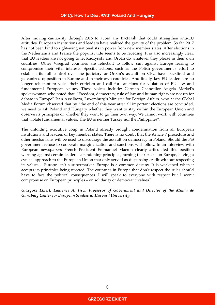After moving cautiously through 2016 to avoid any backlash that could strengthen anti-EU attitudes, European institutions and leaders have realized the gravity of the problem. So far, 2017 has not been kind to right-wing nationalists in power from new member states. After elections in the Netherlands and France the populist tide seems to be receding. It is also increasingly clear, that EU leaders are not going to let Kaczyński and Orbán do whatever they please in their own countries. Other Visegrad countries are reluctant to follow suit against Europe fearing to compromise their vital interests. Specific actions, such as the Polish government's effort to establish its full control over the judiciary or Orbán's assault on CEU have backfired and galvanized opposition in Europe and in their own countries. And finally, key EU leaders are no longer reluctant to voice their criticism and call for sanctions for violation of EU law and fundamental European values. These voices include: German Chancellor Angela Merkel's spokeswoman who noted that: "Freedom, democracy, rule of law and human rights are not up for debate in Europe" Jean Asselborn, Luxemburg's Minister for Foreign Affairs, who at the Global Media Forum observed that by "the end of this year after all important elections are concluded, we need to ask Poland and Hungary whether they want to stay within the European Union and observe its principles or whether they want to go their own way. We cannot work with countries that violate fundamental values. The EU is neither Turkey nor the Philippines".

The unfolding executive coup in Poland already brought condemnation from all European institutions and leaders of key member states. There is no doubt that the Article 7 procedure and other mechanisms will be used to discourage the assault on democracy in Poland. Should the PiS government refuse to cooperate marginalization and sanctions will follow. In an interview with European newspapers French President Emmanuel Macron clearly articulated this position warning against certain leaders "abandoning principles, turning their backs on Europe, having a cynical approach to the European Union that only served as dispensing credit without respecting its values… Europe isn't a supermarket. Europe is a common destiny. It is weakened when it accepts its principles being rejected. The countries in Europe that don't respect the rules should have to face the political consequences. I will speak to everyone with respect but I won't compromise on European principles – on solidarity or democratic values".

*Grzegorz Ekiert, Laurence A. Tisch Professor of Government and Director of the Minda de Gunzburg Center for European Studies at Harvard University.*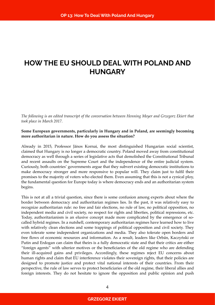### **HOW THE EU SHOULD DEAL WITH POLAND AND HUNGARY**

*The following is an edited transcript of the conversation between Henning Meyer and Grzegorz Ekiert that took place in March 2017.*

#### **Some European governments, particularly in Hungary and in Poland, are seemingly becoming more authoritarian in nature. How do you assess the situation?**

Already in 2015, Professor János Kornai, the most distinguished Hungarian social scientist, claimed that Hungary is no longer a democratic country. Poland moved away from constitutional democracy as well through a series of legislative acts that demolished the Constitutional Tribunal and recent assaults on the Supreme Court and the independence of the entire judicial system. Curiously, both countries' governments argue that they subvert existing democratic institutions to make democracy stronger and more responsive to popular will. They claim just to fulfil their promises to the majority of voters who elected them. Even assuming that this is not a cynical ploy, the fundamental question for Europe today is where democracy ends and an authoritarian system begins.

This is not at all a trivial question, since there is some confusion among experts about where the border between democracy and authoritarian regimes lies. In the past, it was relatively easy to recognize authoritarian rule: no free and fair elections, no rule of law, no political opposition, no independent media and civil society, no respect for rights and liberties, political repressions, etc. Today, authoritarianism is an elusive concept made more complicated by the emergence of socalled hybrid regimes. In a nutshell, contemporary authoritarian regimes have learned how to live with relatively clean elections and some trappings of political opposition and civil society. They even tolerate some independent organizations and media. They also tolerate open borders and free flows of economic resources and information. As a result, leaders like Orbán, Kaczyński or Putin and Erdogan can claim that theirs is a fully democratic state and that their critics are either "foreign agents" with ulterior motives or the beneficiaries of the old regime who are defending their ill-acquired gains and privileges. Accordingly, these regimes reject EU concerns about human rights and claim that EU interference violates their sovereign rights, that their policies are designed to promote justice and protect vital national interests of their countries. From their perspective, the rule of law serves to protect beneficiaries of the old regime, their liberal allies and foreign interests. They do not hesitate to ignore the opposition and public opinion and push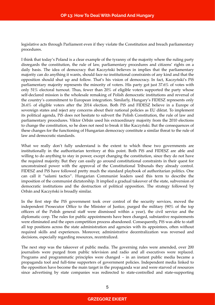legislative acts through Parliament even if they violate the Constitution and breach parliamentary procedures.

I think that today's Poland is a clear example of the tyranny of the majority where the ruling party disregards the constitution, the rule of law, parliamentary procedures and citizens' rights on a daily basis. The idea of democracy that Kaczyński believes in implies that the parliamentary majority can do anything it wants, should face no institutional constraints of any kind and that the opposition should shut up and follow. That's his vision of democracy. In fact, Kaczyński's PiS parliamentary majority represents the minority of voters. His party got just 37.6% of votes with only 51% electoral turnout. Thus, fewer than 20% of eligible voters supported the party whose self-declared mission is the wholesale remaking of Polish democratic institutions and reversal of the country's commitment to European integration. Similarly, Hungary's FIDESZ represents only 26.6% of eligible voters after the 2014 election. Both PiS and FIDESZ believe in a Europe of sovereign states and reject any concerns about their national policies as EU diktat. To implement its political agenda, PiS does not hesitate to subvert the Polish Constitution, the rule of law and parliamentary procedures. Viktor Orbán used his extraordinary majority from the 2010 elections to change the constitution, so he does not need to break it like Kaczyński. But the consequences of these changes for the functioning of Hungarian democracy constitute a similar threat to the rule of law and democratic standards.

What we really don't fully understand is the extent to which these two governments are institutionally in the authoritarian territory at this point. Both PiS and FIDESZ are able and willing to do anything to stay in power, except changing the constitution, since they do not have the required majority. But they can easily go around constitutional constraints in their quest for unconstrained power with the approval of the Constitutional Tribunals they already control. FIDESZ and PiS have followed pretty much the standard playbook of authoritarian politics. One can call it "salami tactics". Hungarian Communist leaders used this term to describe the imposition of the communist dictatorship. It implied a gradual takeover of the state, subversion of democratic institutions and the destruction of political opposition. The strategy followed by Orbán and Kaczyński is broadly similar.

In the first step the PiS government took over control of the security services, moved the independent Prosecutor Office to the Minister of Justice, purged the military (90% of the top officers of the Polish general staff were dismissed within a year), the civil service and the diplomatic corp. The rules for public appointments have been changed, substantive requirements were eliminated and the open competition process abandoned. Consequently, PiS was able to staff all top positions across the state administration and agencies with its appointees, often without required skills and experiences. Moreover, administrative decentralization was reversed and decisions, especially regarding resources, recentralized.

The next step was the takeover of public media. The governing rules were amended, over 200 journalists were purged from public television and radio and all executives were replaced. Programs and programmatic principles were changed – in an instant public media became a propaganda tool and full-time supporters of government policies. Independent media linked to the opposition have become the main target in the propaganda war and were starved of resources since advertising by state companies was redirected to state-controlled and state-supporting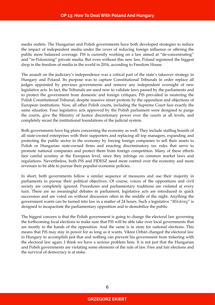media outlets. The Hungarian and Polish governments have both developed strategies to reduce the impact of independent media under the cover of reducing foreign influence or offering the public more balanced coverage. PiS is currently working on a law aimed at "de-concentrating" and "re-Polonizing" private media. But even without this new law, Poland registered the biggest drop in the freedom of media in the world in 2016, according to Freedom House.

The assault on the judiciary's independence was a critical part of the state's takeover strategy in Hungary and Poland. Its purpose was to capture Constitutional Tribunals in order replace all judges appointed by previous governments and remove any independent oversight of new legislative acts. In fact, the Tribunals are used now to validate laws passed by the parliaments and to protect the government from domestic and foreign critiques. PiS prevailed in neutering the Polish Constitutional Tribunal, despite massive street protests by the opposition and objections of European institutions. Now, all other Polish courts, including the Supreme Court face exactly the same situation. Four legislative acts approved by the Polish parliament were designed to purge the courts, give the Ministry of Justice discretionary power over the courts at all levels, and completely recast the institutional foundations of the judicial system.

Both governments have big plans concerning the economy as well. They include staffing boards of all state-owned enterprises with their supporters and replacing all top managers, expanding and protecting the public sector in the economy by forcing foreign companies to sell their assets to Polish or Hungarian state-owned firms and enacting discriminatory tax rules that serve to promote national companies and protect them from foreign competition. Many of these efforts face careful scrutiny at the European level, since they infringe on common market laws and regulations. Nevertheless, both PiS and FIDESZ need more control over the economy and more revenues to be able to pursue their populist economic policies.

In short, both governments follow a similar sequence of measures and use their majority in parliaments to pursue their political objectives. Of course, voices of the oppositions and civil society are completely ignored. Procedures and parliamentary traditions are violated at every turn. There are no meaningful debates in parliament, legislative acts are introduced in quick succession and are voted on without discussion often in the middle of the night. Anything the government wants can be turned into law in a matter of 24 hours. Such a legislative "*Blitzkrieg*" is designed to incapacitate the parliamentary opposition and to demobilize the public.

The biggest concern is that the Polish government is going to change the electoral law governing the forthcoming local elections to make sure that PiS will be able take over local governments that are mostly in the hands of the opposition. And the same is in store for national elections. This means that PiS may stay in power for as long as it wants. Viktor Orbán changed the electoral law in Hungary to accomplish just that and nothing can prevent his government from tinkering with the electoral law again. I think we have a serious problem here. It is not just that the Hungarian and Polish governments are violating some elements of the rule of law. Free and fair elections and the survival of democracy is at stake.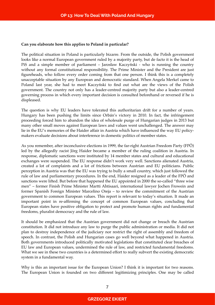#### **Can you elaborate how this applies to Poland in particular?**

The political situation in Poland is particularly bizarre. From the outside, the Polish government looks like a normal European government ruled by a majority party, but de facto it is the head of PiS and a simple member of parliament – Jarosław Kaczyński - who is running the country without any formal constitutional responsibility. The Prime Minister and the President are just figureheads, who follow every order coming from that one person. I think this is a completely unacceptable situation by any European and democratic standard. When Angela Merkel came to Poland last year, she had to meet Kaczyński to find out what are the views of the Polish government. The country not only has a leader-centred majority party but also a leader-centred governing process in which every important decision is consulted beforehand or reversed if he is displeased.

The question is why EU leaders have tolerated this authoritarian drift for a number of years. Hungary has been pushing the limits since Orbán's victory in 2010. In fact, the infringement proceeding forced him to abandon the idea of wholesale purge of Hungarian judges in 2013 but many other small moves against European laws and values went unchallenged. The answer may lie in the EU's memories of the Haider affair in Austria which have influenced the way EU policymakers evaluate decisions about interference in domestic politics of member states.

As you remember, after inconclusive elections in 1999, the far-right Austrian Freedom Party (FPÖ) led by the allegedly racist Jörg Haider became a member of the ruling coalition in Austria. In response, diplomatic sanctions were instituted by 14 member states and cultural and educational exchanges were suspended. The EU response didn't work very well. Sanctions alienated Austria, created a lot of complaints and a lot of frictions between Austrian and EU politicians. Public perception in Austria was that the EU was trying to bully a small country, which just followed the rule of law and parliamentary procedures. In the end, Haider resigned as a leader of the FPÖ and sanctions were lifted. But before that happened the EU appointed in 2000 the so-called "three wise men" – former Finish Prime Minister Martti Ahtisaari, international lawyer Jochen Frowein and former Spanish Foreign Minister Marcelino Oreja – to review the commitment of the Austrian government to common European values. This report is relevant to today's situation. It made an important point in re-affirming the concept of common European values, concluding that European states have positive obligation to protect and promote human rights and fundamental freedoms, pluralist democracy and the rule of law.

It should be emphasized that the Austrian government did not change or breach the Austrian constitution. It did not introduce any law to purge the public administration or media. It did not plan to destroy independence of the judiciary nor restrict the right of assembly and freedom of speech. In contrast, the Polish and Hungarian cases go well beyond what happened in Austria. Both governments introduced politically motivated legislations that constituted clear breaches of EU law and European values, undermined the rule of law, and restricted fundamental freedoms. What we see in these two countries is a determined effort to really subvert the existing democratic system in a fundamental way.

Why is this an important issue for the European Union? I think it is important for two reasons. The European Union is founded on two different legitimizing principles. One may be called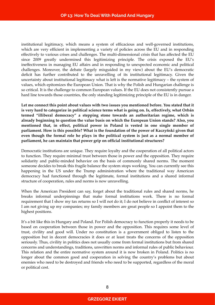institutional legitimacy, which means a system of efficacious and well-governed institutions, which are very efficient in implementing a variety of policies across the EU and in responding effectively to various crises and challenges. The multi-dimensional crisis that has affected the EU since 2009 greatly undermined this legitimizing principle. The crisis exposed the EU's ineffectiveness in managing EU affairs and in responding to unexpected economic and political challenges. Moreover, the debate (largely misguided in my view) about the EU's democratic deficit has further contributed to the unravelling of its institutional legitimacy. Given the uncertainty about institutional legitimacy what is left is the normative legitimacy – the system of values, which epitomizes the European Union. That is why the Polish and Hungarian challenge is so critical. It is the challenge to common European values. If the EU does not consistently pursue a hard line towards those countries, the only standing legitimizing principle of the EU is in danger.

**Let me connect this point about values with two issues you mentioned before. You stated that it is very hard to categorize in political science terms what is going on. Is, effectively, what Orbán termed "illiberal democracy" a stepping stone towards an authoritarian regime, which is already beginning to question the value basis on which the European Union stands? Also, you mentioned that, in effect, political power in Poland is vested in one single member of parliament. How is this possible? What is the foundation of the power of Kaczyński given that even though the formal role he plays in the political system is just as a normal member of parliament, he can maintain that power grip on official institutional structures?**

Democratic institutions are unique. They require loyalty and the cooperation of all political actors to function. They require minimal trust between those in power and the opposition. They require solidarity and public-minded behavior on the basis of commonly shared norms. The moment someone decides to break this fragile balance the system stops working. You can currently see this happening in the US under the Trump administration where the traditional way American democracy had functioned through the legitimate, formal institutions and a shared informal structure of cooperation, rules and norms is now unravelling.

When the American President can say, forget about the traditional rules and shared norms, he breaks informal underpinnings that make formal institutions work. There is no formal requirement that I show my tax returns so I will not do it; I do not believe in conflict of interest so I am not giving up my companies; my family members are great people so I appoint them to the highest positions.

It's a bit like this in Hungary and Poland. For Polish democracy to function properly it needs to be based on cooperation between those in power and the opposition. This requires some level of trust, civility and good will. Under no constitution is a government obliged to listen to the opposition but in decent democracies it does or at least treats the concerns of the opposition seriously. Thus, civility in politics does not usually come from formal institutions but from shared concerns and understandings, traditions, unwritten norms and informal rules of public behaviour. This relation and the entire normative system around it is now broken in Poland. Politics is no longer about the common good and cooperation in solving the country's problems but about enemies who need to be destroyed and friends who need to be supported, regardless of the moral or political cost.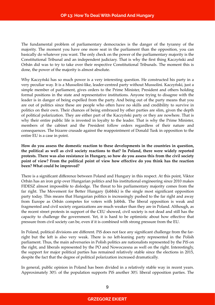The fundamental problem of parliamentary democracies is the danger of the tyranny of the majority. The moment you have one more seat in the parliament than the opposition, you can basically do whatever you want. The only check on the power of the parliamentary majority is the Constitutional Tribunal and an independent judiciary. That is why the first thing Kaczyński and Orbán did was to try to take over their respective Constitutional Tribunals. The moment this is done, the power of the majority is almost absolute.

Why Kaczyński has so much power is a very interesting question. He constructed his party in a very peculiar way. It is a Mussolini-like, leader-centred party without Mussolini. Kaczyński, just a simple member of parliament, gives orders to the Prime Minister, President and others holding formal positions in the state and representative institutions. Anyone trying to disagree with the leader is in danger of being expelled from the party. And being out of the party means that you are out of politics since these are people who often have no skills and credibility to survive in politics on their own. Their chances of being embraced by other parties are slim, given the depth of political polarization. They are either part of the Kaczyński party or they are nowhere. That is why their entire public life is invested in loyalty to the leader. That is why the Prime Minister, members of the cabinet and the President follow orders regardless of their nature and consequences. The bizarre crusade against the reappointment of Donald Tusk in opposition to the entire EU is a case in point.

**How do you assess the domestic reaction to these developments in the countries in question, the political as well as civil society reactions to that? In Poland, there were widely reported protests. There was also resistance in Hungary, so how do you assess this from the civil society point of view? From the political point of view how effective do you think has the reaction been? What could be improved?**

There is a significant difference between Poland and Hungary in this respect. At this point, Viktor Orbán has an iron grip over Hungarian politics and his institutional engineering since 2010 makes FIDESZ almost impossible to dislodge. The threat to his parliamentary majority comes from the far right. The Movement for Better Hungary (Jobbik) is the single most significant opposition party today. This means that Hungarian politics is increasingly pushed to the far right and away from Europe as Orbán competes for voters with Jobbik. The liberal opposition is weak and fragmented and civil society organizations are much weaker than they are in Poland. Although, as the recent street protests in support of the CEU showed, civil society is not dead and still has the capacity to challenge the government. Yet, it is hard to be optimistic about how effective that pressure from civil society can be, even if it is combined with strong pressure from the EU.

In Poland, political divisions are different. PiS does not face any significant challenge from the farright but the left is also very weak. There is no left-leaning party represented in the Polish parliament. Thus, the main adversaries in Polish politics are nationalists represented by the PiS on the right, and liberals represented by the PO and Nowoczesna as well on the right. Interestingly, the support for major political parties has remained relatively stable since the elections in 2015, despite the fact that the degree of political polarization increased dramatically.

In general, public opinion in Poland has been divided in a relatively stable way in recent years. Approximately 30% of the population supports PiS another 30% liberal opposition parties. The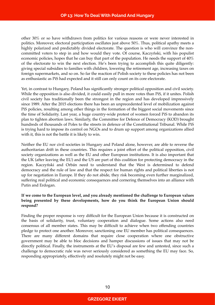other 30% or so have withdrawn from politics for various reasons or were never interested in politics. Moreover, electoral participation oscillates just above 50%. Thus, political apathy meets a highly polarized and predictably divided electorate. The question is who will convince the noncommitted voters to step in and how would they vote. Of course, Kaczyński, with his populist economic policies, hopes that he can buy that part of the population. He needs the support of 40% of the electorate to win the next election. He's been trying to accomplish this quite diligently: giving special subsidies to families with children, lowering the retirement age, increasing taxes on foreign supermarkets, and so on. So far the reaction of Polish society to these policies has not been as enthusiastic as PiS had expected and it still can only count on its core electorate.

Yet, in contrast to Hungary, Poland has significantly stronger political opposition and civil society. While the opposition is also divided, it could easily pull in more votes than PiS, if it unites. Polish civil society has traditionally been the strongest in the region and has developed impressively since 1989. After the 2015 elections there has been an unprecedented level of mobilization against PiS policies, resulting among other things in the formation of the biggest social movements since the time of Solidarity. Last year, a huge country-wide protest of women forced PiS to abandon its plan to tighten abortion laws. Similarly, the Committee for Defence of Democracy (KOD) brought hundreds of thousands of Poles to the streets in defence of the Constitutional Tribunal. While PiS is trying hard to impose its control on NGOs and to drum up support among organizations allied with it, this is not the battle it is likely to win.

Neither the EU nor civil societies in Hungary and Poland alone, however, are able to reverse the authoritarian drift in these countries. This requires a joint effort of the political opposition, civil society organizations as well as the EU and other European institutions. It is also important that the UK (after leaving the EU) and the US are part of this coalition for protecting democracy in the region. Kaczyński and Orbán need to understand that the West is determined to defend democracy and the rule of law and that the respect for human rights and political liberties is not up for negotiation in Europe. If they do not abide, they risk becoming even further marginalized, suffering real political and economic consequences and cornering themselves into an alliance with Putin and Erdogan.

#### **If we come to the European level, and you already mentioned the challenge to European values being presented by these developments, how do you think the European Union should respond?**

Finding the proper response is very difficult for the European Union because it is constructed on the basis of solidarity, trust, voluntary cooperation and dialogue. Some actions also need consensus of all member states. This may be difficult to achieve when two offending countries pledge to protect one another. Moreover, sanctioning one EU member has political consequences. There are many different domains that require close cooperation where one obstructive government may be able to bloc decisions and hamper discussions of issues that may not be directly political. Finally, the instruments at the EU's disposal are few and untested, since such a challenge to democratic rule was never seriously considered as something the EU may face. So, responding appropriately, effectively and resolutely might not be easy.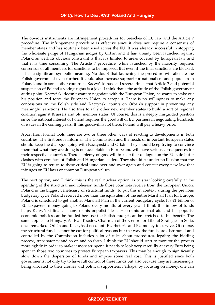The obvious instruments are infringement procedures for breaches of EU law and the Article 7 procedure. The infringement procedure is effective since it does not require a consensus of member states and has routinely been used across the EU. It was already successful in stopping the wholesale purge of Hungarian judges by Orbán and it has already been launched against Poland as well. Its obvious constraint is that it's limited to areas covered by European law and that it is time consuming. The Article 7 procedure, while launched by the majority, requires consensus of all members for sanctions to be imposed. But even if the final sanctions are blocked, it has a significant symbolic meaning. No doubt that launching the procedure will alienate the Polish government even further. It could also increase support for nationalism and populism in Poland, and in some other countries. Kaczyński has said several times that Article 7 and potential suspension of Poland's voting rights is a joke. I think that's the attitude of the Polish government at this point. Kaczyński doesn't want to negotiate with the European Union, he wants to stake out his position and force the European Union to accept it. There is no willingness to make any concessions on the Polish side and Kaczyński counts on Orbán's support in preventing any meaningful sanctions. He also tries to rally other new member states to build a sort of regional coalition against Brussels and old member states. Of course, this is a deeply misguided position since the national interest of Poland requires the goodwill of EU partners in negotiating hundreds of issues in the coming years. If this goodwill is not there, Poland will pay a heavy price.

Apart from formal tools there are two or three other ways of reacting to developments in both countries. The first one is informal. The Commission and the heads of important European states should keep the dialogue going with Kaczyński and Orbán. They should keep trying to convince them that what they are doing is not acceptable in Europe and will have serious consequences for their respective countries. There is plenty of goodwill to keep that dialogue on the EU side but it clashes with cynicism of Polish and Hungarian leaders. They should be under no illusion that the EU is going to return to these critical issue over and over again and contest every new law that infringes on EU laws or common European values.

The next option, and I think this is the real nuclear option, is to start looking carefully at the spending of the structural and cohesion funds those countries receive from the European Union. Poland is the biggest beneficiary of structural funds. To put this in context, during the previous budgetary cycle Poland received more than the equivalent of the entire Marshall Plan for Europe. Poland is scheduled to get another Marshall Plan in the current budgetary cycle. It's  $\epsilon$ 1 billion of EU taxpayers' money going to Poland every month, of every year. I think this inflow of funds helps Kaczyński finance many of his populist ideas. He counts on that aid and his populist economic policies can be funded because the Polish budget can be stretched to his benefit. The same applies to Hungary. As Ivan Krastev, Chairman of the Centre for Liberal Strategies in Sofia, once remarked: Orbán and Kaczyński need anti-EU rhetoric and EU money to survive. Of course, the structural funds cannot be cut for political reasons but the way the funds are distributed and controlled by the Commission includes a lot of rules about procedures, legality, the bidding process, transparency and so on and so forth. I think the EU should start to monitor the process more tightly in order to make it more stringent. It needs to look very carefully at every Euro being spent in those two countries to protect European taxpayers. This may be enough to significantly slow down the dispersion of funds and impose some real cost. This is justified since both governments not only try to have full control of these funds but also because they are increasingly being allocated to their cronies and political supporters. Perhaps, by focusing on money, one can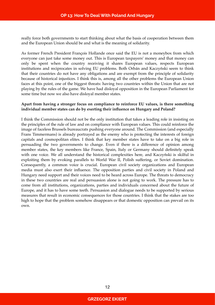really force both governments to start thinking about what the basis of cooperation between them and the European Union should be and what is the meaning of solidarity.

As former French President François Hollande once said the EU is not a moneybox from which everyone can just take some money out. This is European taxpayers' money and that money can only be spent when the country receiving it shares European values, respects European institutions and reciprocates in solving EU problems. Both Orbán and Kaczyński seem to think that their countries do not have any obligations and are exempt from the principle of solidarity because of historical injustices. I think this is, among all the other problems the European Union faces at this point, one of the biggest threats: having two countries within the Union that are not playing by the rules of the game. We have had disloyal opposition in the European Parliament for some time but now we also have disloyal member states.

#### **Apart from having a stronger focus on compliance to reinforce EU values, is there something individual member states can do by exerting their influence on Hungary and Poland?**

I think the Commission should not be the only institution that takes a leading role in insisting on the principles of the rule of law and on compliance with European values. This could reinforce the image of faceless Brussels bureaucrats pushing everyone around. The Commission (and especially Frans Timmermans) is already portrayed as the enemy who is protecting the interests of foreign capitals and cosmopolitan elites. I think that key member states have to take on a big role in persuading the two governments to change. Even if there is a difference of opinion among member states, the key members like France, Spain, Italy or Germany should definitely speak with one voice. We all understand the historical complexities here, and Kaczyński is skilful in exploiting them by evoking parallels to World War II, Polish suffering, or Soviet domination. Consequently, a common voice is crucial. European civil society organizations and European media must also exert their influence. The opposition parties and civil society in Poland and Hungary need support and their voices need to be heard across Europe. The threats to democracy in these two countries are real and persuasion alone is not going to work. The pressure has to come from all institutions, organizations, parties and individuals concerned about the future of Europe, and it has to have some teeth. Persuasion and dialogue needs to be supported by serious measures that result in economic consequences for those countries. I think that the stakes are too high to hope that the problem somehow disappears or that domestic opposition can prevail on its own.